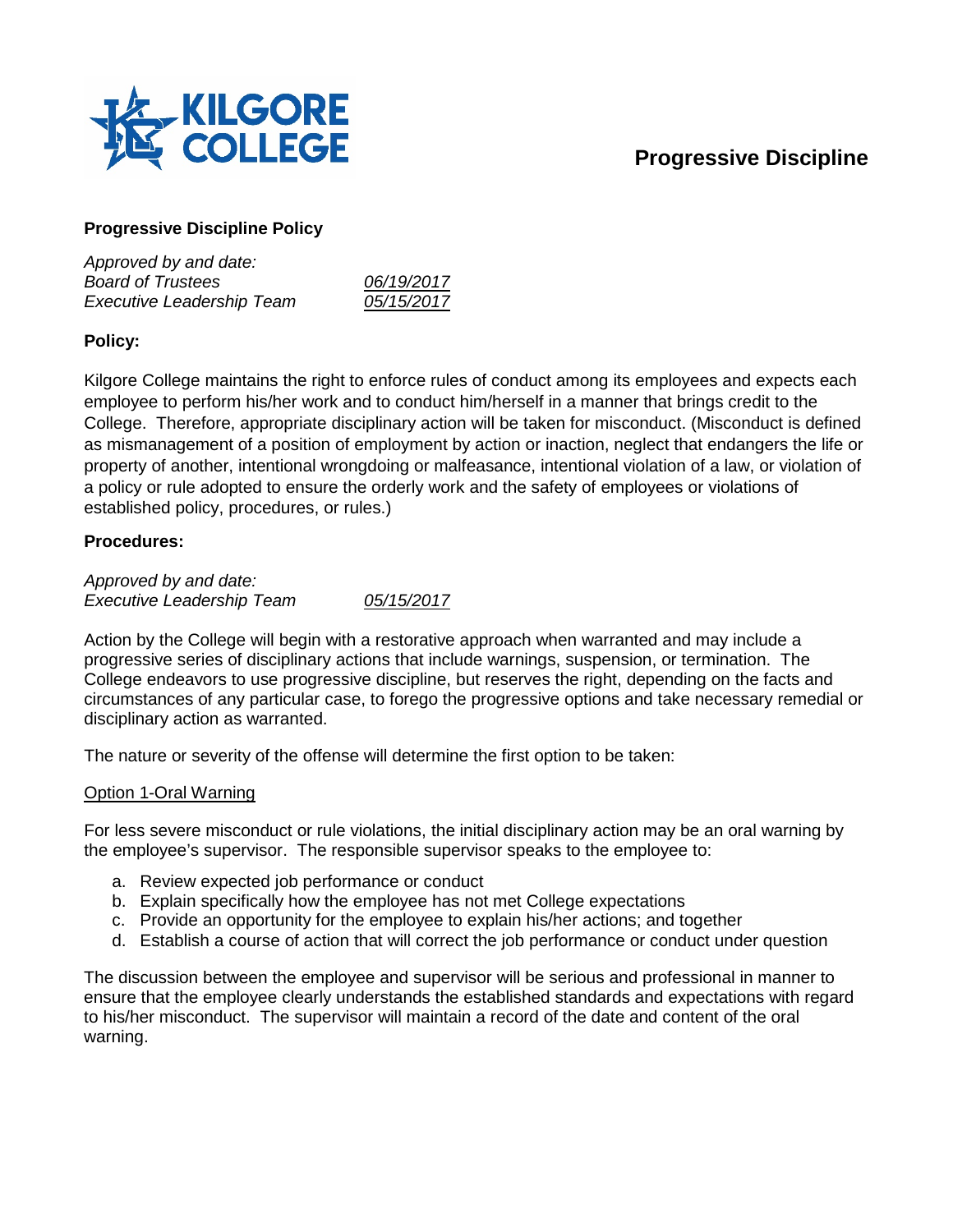# **Progressive Discipline**



## **Progressive Discipline Policy**

| Approved by and date:            |            |
|----------------------------------|------------|
| <b>Board of Trustees</b>         | 06/19/2017 |
| <b>Executive Leadership Team</b> | 05/15/2017 |

# **Policy:**

Kilgore College maintains the right to enforce rules of conduct among its employees and expects each employee to perform his/her work and to conduct him/herself in a manner that brings credit to the College. Therefore, appropriate disciplinary action will be taken for misconduct. (Misconduct is defined as mismanagement of a position of employment by action or inaction, neglect that endangers the life or property of another, intentional wrongdoing or malfeasance, intentional violation of a law, or violation of a policy or rule adopted to ensure the orderly work and the safety of employees or violations of established policy, procedures, or rules.)

### **Procedures:**

*Approved by and date: Executive Leadership Team 05/15/2017*

Action by the College will begin with a restorative approach when warranted and may include a progressive series of disciplinary actions that include warnings, suspension, or termination. The College endeavors to use progressive discipline, but reserves the right, depending on the facts and circumstances of any particular case, to forego the progressive options and take necessary remedial or disciplinary action as warranted.

The nature or severity of the offense will determine the first option to be taken:

# Option 1-Oral Warning

For less severe misconduct or rule violations, the initial disciplinary action may be an oral warning by the employee's supervisor. The responsible supervisor speaks to the employee to:

- a. Review expected job performance or conduct
- b. Explain specifically how the employee has not met College expectations
- c. Provide an opportunity for the employee to explain his/her actions; and together
- d. Establish a course of action that will correct the job performance or conduct under question

The discussion between the employee and supervisor will be serious and professional in manner to ensure that the employee clearly understands the established standards and expectations with regard to his/her misconduct. The supervisor will maintain a record of the date and content of the oral warning.